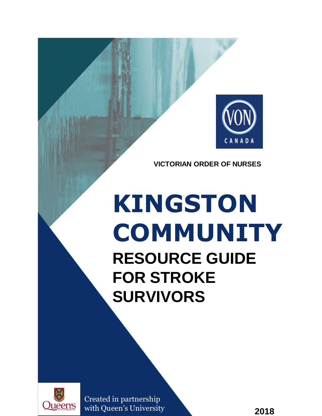

**VICTORIAN ORDER OF NURSES**

# **KINGSTON COMMUNITY RESOURCE GUIDE FOR STROKE SURVIVORS**



Created in partnership with Queen's University

**2018**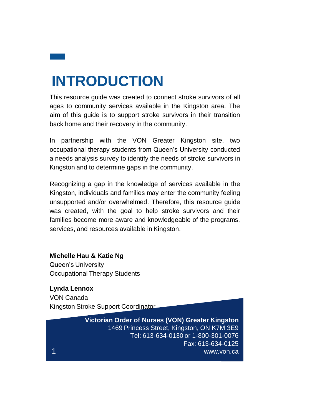## **INTRODUCTION**

This resource guide was created to connect stroke survivors of all ages to community services available in the Kingston area. The aim of this guide is to support stroke survivors in their transition back home and their recovery in the community.

In partnership with the VON Greater Kingston site, two occupational therapy students from Queen's University conducted <sup>a</sup> needs analysis survey to identify the needs of stroke survivors in Kingston and to determine gaps in the community.

Recognizing <sup>a</sup> gap in the knowledge of services available in the Kingston, individuals and families may enter the community feeling unsupported and/or overwhelmed. Therefore, this resource guide was created, with the goal to help stroke survivors and their families become more aware and knowledgeable of the programs, services, and resources available in Kingston.

#### **Michelle Hau & Katie Ng**

Queen's University Occupational Therapy Students

#### **Lynda Lennox** VON Canada

Kingston Stroke Support Coordinator

**Victorian Order of Nurses (VON) Greater Kingston** 1469 Princess Street, Kingston, ON K7M 3E9 Tel: 613-634-0130 or 1-800-301-0076 Fax: 613-634-0125 www.von.ca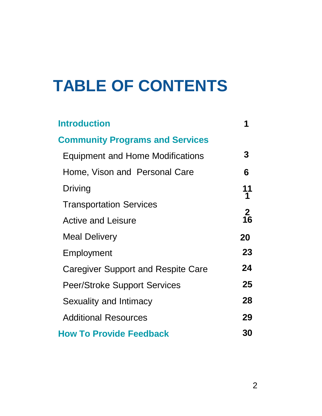## **TABLE OF CONTENTS**

| <b>Introduction</b>                       |                |
|-------------------------------------------|----------------|
| <b>Community Programs and Services</b>    |                |
| <b>Equipment and Home Modifications</b>   | 3              |
| Home, Vison and Personal Care             | 6              |
| Driving                                   | 11<br>1        |
| <b>Transportation Services</b>            |                |
| <b>Active and Leisure</b>                 | $\frac{2}{16}$ |
| <b>Meal Delivery</b>                      | 20             |
| Employment                                | 23             |
| <b>Caregiver Support and Respite Care</b> | 24             |
| <b>Peer/Stroke Support Services</b>       | 25             |
| Sexuality and Intimacy                    | 28             |
| <b>Additional Resources</b>               | 29             |
| <b>How To Provide Feedback</b>            | <b>30</b>      |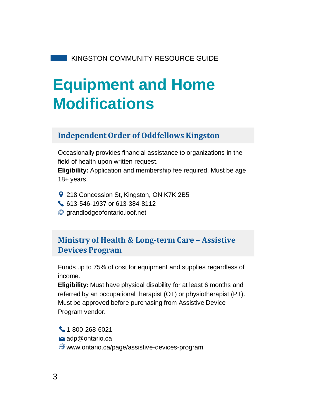## **Equipment and Home Modifications**

### **Independent Order of Oddfellows Kingston**

Occasionally provides financial assistance to organizations in the field of health upon written request.

**Eligibility:** Application and membership fee required. Must be age 18+ years.

- **218 Concession St, Kingston, ON K7K 2B5**
- 613-546-1937 or 613-384-8112
- grandlodgeofontario.ioof.net

## **Ministry of Health & Long-term Care – Assistive Devices Program**

Funds up to 75% of cost for equipment and supplies regardless of income.

**Eligibility:** Must have physical disability for at least 6 months and referred by an occupational therapist (OT) or physiotherapist (PT). Must be approved before purchasing from Assistive Device Program vendor.

1-800-268-6021 adp@ontario.ca www.ontario.ca/page/assistive-devices-program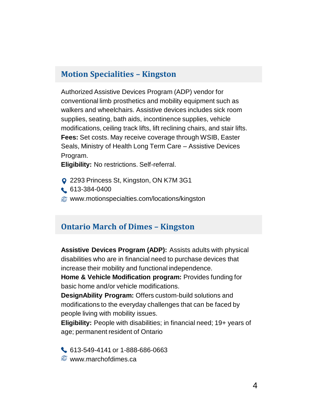### **Motion Specialities – Kingston**

Authorized Assistive Devices Program (ADP) vendor for conventional limb prosthetics and mobility equipment such as walkers and wheelchairs. Assistive devices includes sick room supplies, seating, bath aids, incontinence supplies, vehicle modifications, ceiling track lifts, lift reclining chairs, and stair lifts. **Fees:** Set costs. May receive coverage through WSIB, Easter Seals, Ministry of Health Long Term Care – Assistive Devices Program.

**Eligibility:** No restrictions. Self-referral.

- **Q** 2293 Princess St, Kingston, ON K7M 3G1
- 613-384-0400
- www.motionspecialties.com/locations/kingston

#### **Ontario March of Dimes – Kingston**

**Assistive Devices Program (ADP):** Assists adults with physical disabilities who are in financial need to purchase devices that increase their mobility and functional independence.

**Home & Vehicle Modification program:** Provides funding for basic home and/or vehicle modifications.

**DesignAbility Program:** Offers custom-build solutions and modifications to the everyday challenges that can be faced by people living with mobility issues.

**Eligibility:** People with disabilities; in financial need; 19+ years of age; permanent resident of Ontario

 $\bigcup$  613-549-4141 or 1-888-686-0663  $\circledR$  www.marchofdimes.ca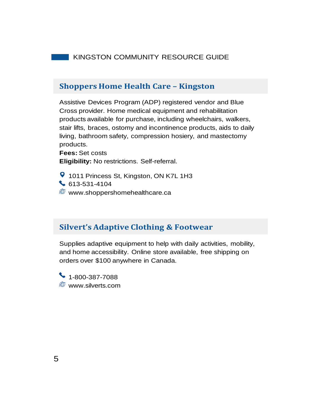#### **Shoppers Home Health Care – Kingston**

Assistive Devices Program (ADP) registered vendor and Blue Cross provider. Home medical equipment and rehabilitation products available for purchase, including wheelchairs, walkers, stair lifts, braces, ostomy and incontinence products, aids to daily living, bathroom safety, compression hosiery, and mastectomy products.

**Fees:** Set costs **Eligibility:** No restrictions. Self-referral.

**9** 1011 Princess St, Kingston, ON K7L 1H3 613-531-4104  $\circledR$  www.shoppershomehealthcare.ca

#### **Silvert's Adaptive Clothing & Footwear**

Supplies adaptive equipment to help with daily activities, mobility, and home accessibility. Online store available, free shipping on orders over \$100 anywhere in Canada.

 $\bullet$  1-800-387-7088 www.silverts.com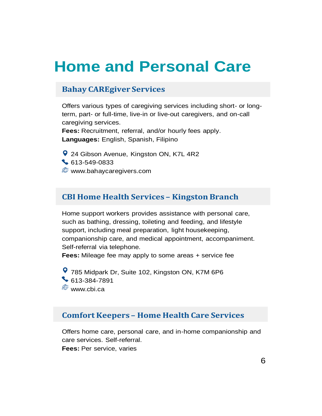## **Home and Personal Care**

#### **Bahay CAREgiver Services**

Offers various types of caregiving services including short- or longterm, part- or full-time, live-in or live-out caregivers, and on-call caregiving services.

**Fees:** Recruitment, referral, and/or hourly fees apply. **Languages:** English, Spanish, Filipino

**9** 24 Gibson Avenue, Kingston ON, K7L 4R2 613-549-0833 **W** www.bahaycaregivers.com

#### **CBI Home Health Services – Kingston Branch**

Home support workers provides assistance with personal care, such as bathing, dressing, toileting and feeding, and lifestyle support, including meal preparation, light housekeeping, companionship care, and medical appointment, accompaniment. Self-referral via telephone.

**Fees:** Mileage fee may apply to some areas + service fee

785 Midpark Dr, Suite 102, Kingston ON, K7M 6P6  $\bullet$  613-384-7891  $\circledR$  www.cbi.ca

#### **Comfort Keepers – Home Health Care Services**

Offers home care, personal care, and in-home companionship and care services. Self-referral. **Fees:** Per service, varies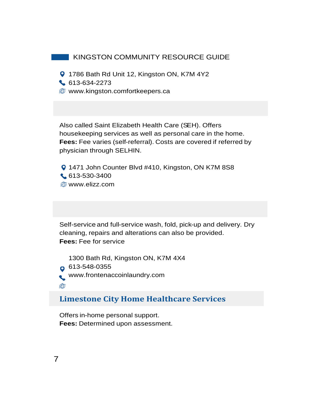- **9** 1786 Bath Rd Unit 12, Kingston ON, K7M 4Y2
- 613-634-2273
- **@** www.kingston.comfortkeepers.ca

Also called Saint Elizabeth Health Care (SEH). Offers housekeeping services as well as personal care in the home. **Fees:** Fee varies (self-referral). Costs are covered if referred by physician through SELHIN.

**Q** 1471 John Counter Blvd #410, Kingston, ON K7M 8S8 613-530-3400 www.elizz.com

Self-service and full-service wash, fold, pick-up and delivery. Dry cleaning, repairs and alterations can also be provided. **Fees:** Fee for service

1300 Bath Rd, Kingston ON, K7M 4X4  $\Omega$  613-548-0355 www.frontenaccoinlaundry.com **AD** 

#### **Limestone City Home Healthcare Services**

Offers in-home personal support. **Fees:** Determined upon assessment.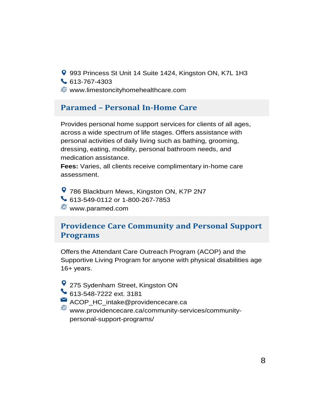- 993 Princess St Unit 14 Suite 1424, Kingston ON, K7L 1H3
- 613-767-4303
- www.limestoncityhomehealthcare.com

## **Paramed – Personal In-Home Care**

Provides personal home support services for clients of all ages, across a wide spectrum of life stages. Offers assistance with personal activities of daily living such as bathing, grooming, dressing, eating, mobility, personal bathroom needs, and medication assistance.

**Fees:** Varies, all clients receive complimentary in-home care assessment.

786 Blackburn Mews, Kingston ON, K7P 2N7 613-549-0112 or 1-800-267-7853 www.paramed.com

## **Providence Care Community and Personal Support Programs**

Offers the Attendant Care Outreach Program (ACOP) and the Supportive Living Program for anyone with physical disabilities age 16+ years.

- 275 Sydenham Street, Kingston ON
- 613-548-7222 ext. 3181
- ACOP\_HC\_intake@providencecare.ca
	- www.providencecare.ca/community-services/communitypersonal-support-programs/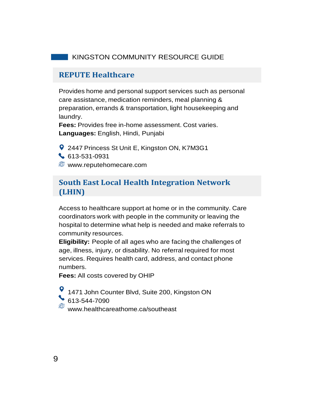#### **REPUTE Healthcare**

Provides home and personal support services such as personal care assistance, medication reminders, meal planning & preparation, errands & transportation, light housekeeping and laundry.

**Fees:** Provides free in-home assessment. Cost varies. **Languages:** English, Hindi, Punjabi

**9** 2447 Princess St Unit E, Kingston ON, K7M3G1 613-531-0931 www.reputehomecare.com

#### **South East Local Health Integration Network (LHIN)**

Access to healthcare support at home or in the community. Care coordinators work with people in the community or leaving the hospital to determine what help is needed and make referrals to community resources.

**Eligibility:** People of all ages who are facing the challenges of age, illness, injury, or disability. No referral required for most services. Requires health card, address, and contact phone numbers.

**Fees:** All costs covered by OHIP

1471 John Counter Blvd, Suite 200, Kingston ON 613-544-7090

www.healthcareathome.ca/southeast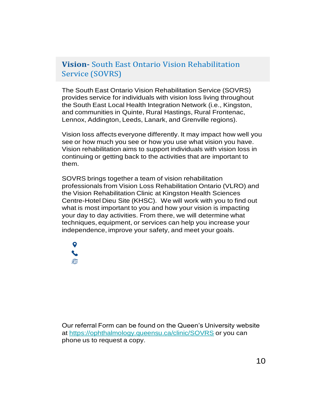### **Vision-** South East Ontario Vision Rehabilitation Service (SOVRS)

The South East Ontario Vision Rehabilitation Service (SOVRS) provides service for individuals with vision loss living throughout the South East Local Health Integration Network (i.e., Kingston, and communities in Quinte, Rural Hastings, Rural Frontenac, Lennox, Addington, Leeds, Lanark, and Grenville regions).

Vision loss affects everyone differently. It may impact how well you see or how much you see or how you use what vision you have. Vision rehabilitation aims to support individuals with vision loss in continuing or getting back to the activities that are important to them.

SOVRS brings together a team of vision rehabilitation professionals from Vision Loss Rehabilitation Ontario (VLRO) and the Vision Rehabilitation Clinic at Kingston Health Sciences Centre-Hotel Dieu Site (KHSC). We will work with you to find out what is most important to you and how your vision is impacting your day to day activities. From there, we will determine what techniques, equipment, or services can help you increase your independence, improve your safety, and meet your goals.

A

Our referral Form can be found on the Queen's University website at https://ophthalmology.queensu.ca/clinic/SOVRS or you can phone us to request a copy.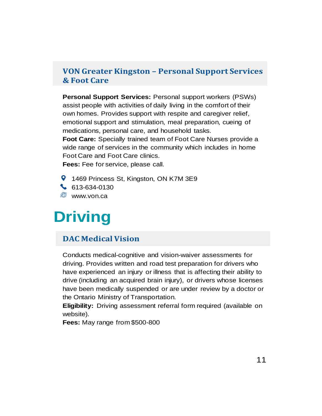### **VON Greater Kingston – Personal Support Services & Foot Care**

**Personal Support Services:** Personal support workers (PSWs) assist people with activities of daily living in the comfort of their own homes. Provides support with respite and caregiver relief, emotional support and stimulation, meal preparation, cueing of medications, personal care, and household tasks.

**Foot Care:** Specially trained team of Foot Care Nurses provide a wide range of services in the community which includes in home Foot Care and Foot Care clinics.

**Fees:** Fee for service, please call.

- **9** 1469 Princess St, Kingston, ON K7M 3E9
- $\bullet$  613-634-0130

**E** www.von.ca

## **Driving**

#### **DAC Medical Vision**

Conducts medical-cognitive and vision-waiver assessments for driving. Provides written and road test preparation for drivers who have experienced an injury or illness that is affecting their ability to drive (including an acquired brain injury), or drivers whose licenses have been medically suspended or are under review by a doctor or the Ontario Ministry of Transportation.

**Eligibility:** Driving assessment referral form required (available on website).

**Fees:** May range from \$500-800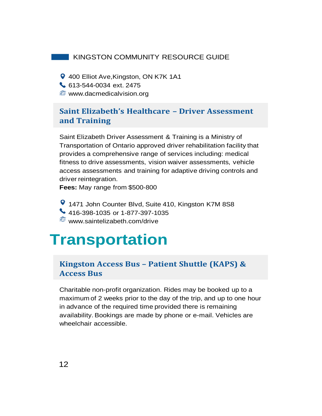- **9** 400 Elliot Ave, Kingston, ON K7K 1A1
- 613-544-0034 ext. 2475
- **WWW.dacmedicalvision.org**

## **Saint Elizabeth's Healthcare – Driver Assessment and Training**

Saint Elizabeth Driver Assessment & Training is a Ministry of Transportation of Ontario approved driver rehabilitation facility that provides a comprehensive range of services including: medical fitness to drive assessments, vision waiver assessments, vehicle access assessments and training for adaptive driving controls and driver reintegration.

**Fees:** May range from \$500-800

1471 John Counter Blvd, Suite 410, Kingston K7M 8S8 416-398-1035 or 1-877-397-1035 www.saintelizabeth.com/drive

## **Transportation**

#### **Kingston Access Bus – Patient Shuttle (KAPS) & Access Bus**

Charitable non-profit organization. Rides may be booked up to a maximum of 2 weeks prior to the day of the trip, and up to one hour in advance of the required time provided there is remaining availability. Bookings are made by phone or e-mail. Vehicles are wheelchair accessible.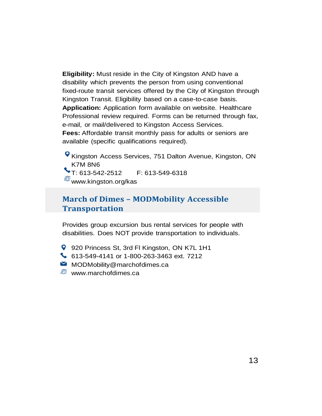**Eligibility:** Must reside in the City of Kingston AND have a disability which prevents the person from using conventional fixed-route transit services offered by the City of Kingston through Kingston Transit. Eligibility based on a case-to-case basis. **Application:** Application form available on website. Healthcare Professional review required. Forms can be returned through fax, e-mail, or mail/delivered to Kingston Access Services. **Fees:** Affordable transit monthly pass for adults or seniors are available (specific qualifications required).

Kingston Access Services, 751 Dalton Avenue, Kingston, ON K7M 8N6 T: 613-542-2512 F: 613-549-6318  $^{\bigoplus \hspace{-3.8mm} \bigoplus}$ www.kingston.org/kas

### **March of Dimes – MODMobility Accessible Transportation**

Provides group excursion bus rental services for people with disabilities. Does NOT provide transportation to individuals.

920 Princess St, 3rd FI Kingston, ON K7L 1H1

613-549-4141 or 1-800-263-3463 ext. 7212

 $\blacksquare$  MODMobility@marchofdimes.ca

 $\circledR$  www.marchofdimes.ca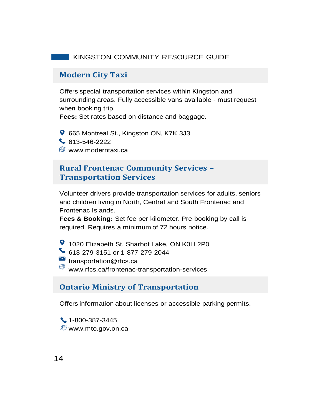#### **Modern City Taxi**

Offers special transportation services within Kingston and surrounding areas. Fully accessible vans available - must request when booking trip.

**Fees:** Set rates based on distance and baggage.

665 Montreal St., Kingston ON, K7K 3J3 613-546-2222 **WWW.moderntaxi.ca** 

#### **Rural Frontenac Community Services – Transportation Services**

Volunteer drivers provide transportation services for adults, seniors and children living in North, Central and South Frontenac and Frontenac Islands.

**Fees & Booking:** Set fee per kilometer. Pre-booking by call is required. Requires a minimum of 72 hours notice.

<sup>9</sup> 1020 Elizabeth St, Sharbot Lake, ON K0H 2P0

613-279-3151 or 1-877-279-2044

transportation@rfcs.ca

www.rfcs.ca/frontenac-transportation-services

#### **Ontario Ministry of Transportation**

Offers information about licenses or accessible parking permits.

1-800-387-3445 www.mto.gov.on.ca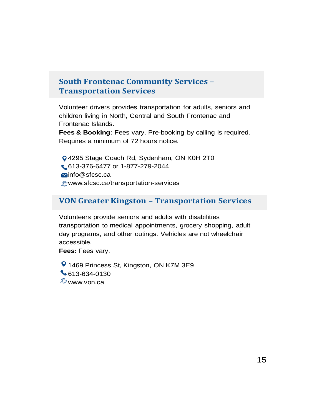## **South Frontenac Community Services – Transportation Services**

Volunteer drivers provides transportation for adults, seniors and children living in North, Central and South Frontenac and Frontenac Islands.

**Fees & Booking:** Fees vary. Pre-booking by calling is required. Requires a minimum of 72 hours notice.

4295 Stage Coach Rd, Sydenham, ON K0H 2T0 613-376-6477 or 1-877-279-2044 Minfo@sfcsc.ca www.sfcsc.ca/transportation-services

#### **VON Greater Kingston – Transportation Services**

Volunteers provide seniors and adults with disabilities transportation to medical appointments, grocery shopping, adult day programs, and other outings. Vehicles are not wheelchair accessible.

**Fees:** Fees vary.

**9** 1469 Princess St, Kingston, ON K7M 3E9  $\big\}$  613-634-0130 *<sup>●</sup>www.von.ca*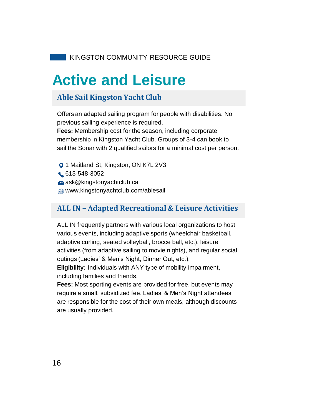## **Active and Leisure**

## **Able Sail Kingston Yacht Club**

Offers an adapted sailing program for people with disabilities. No previous sailing experience is required. **Fees:** Membership cost for the season, including corporate membership in Kingston Yacht Club. Groups of 3-4 can book to sail the Sonar with 2 qualified sailors for a minimal cost per person.

**Q** 1 Maitland St, Kingston, ON K7L 2V3 613-548-3052  $\blacktriangleright$  ask@kingstonyachtclub.ca www.kingstonyachtclub.com/ablesail

### **ALL IN – Adapted Recreational & Leisure Activities**

ALL IN frequently partners with various local organizations to host various events, including adaptive sports (wheelchair basketball, adaptive curling, seated volleyball, brocce ball, etc.), leisure activities (from adaptive sailing to movie nights), and regular social outings (Ladies' & Men's Night, Dinner Out, etc.).

**Eligibility:** Individuals with ANY type of mobility impairment, including families and friends.

**Fees:** Most sporting events are provided for free, but events may require a small, subsidized fee. Ladies' & Men's Night attendees are responsible for the cost of their own meals, although discounts are usually provided.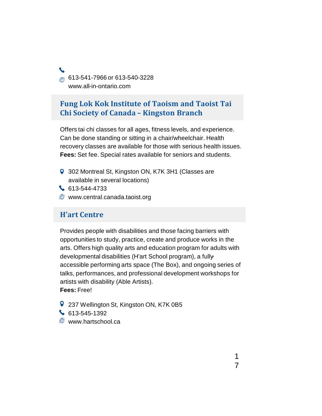@ 613-541-7966 or 613-540-3228 www.all-in-ontario.com

### **Fung Lok Kok Institute of Taoism and Taoist Tai Chi Society of Canada – Kingston Branch**

Offers tai chi classes for all ages, fitness levels, and experience. Can be done standing or sitting in a chair/wheelchair. Health recovery classes are available for those with serious health issues. **Fees:** Set fee. Special rates available for seniors and students.

- **9** 302 Montreal St, Kingston ON, K7K 3H1 (Classes are available in several locations)
- 613-544-4733
- **@** www.central.canada.taoist.org

#### **H'art Centre**

Provides people with disabilities and those facing barriers with opportunities to study, practice, create and produce works in the arts. Offers high quality arts and education program for adults with developmental disabilities (H'art School program), a fullyaccessible performing arts space (The Box), and ongoing series of talks, performances, and professional development workshops for artists with disability (Able Artists).

**Fees:** Free!

- **9** 237 Wellington St, Kingston ON, K7K 0B5
- $\begin{array}{|c|c|c|c|c|}\n\hline\n613-545-1392\n\end{array}$
- *S* www.hartschool.ca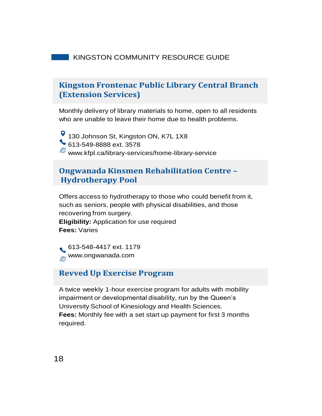### **Kingston Frontenac Public Library Central Branch (Extension Services)**

Monthly delivery of library materials to home, open to all residents who are unable to leave their home due to health problems.

<sup>9</sup> 130 Johnson St, Kingston ON, K7L 1X8 613-549-8888 ext. 3578 www.kfpl.ca/library-services/home-library-service

## **Ongwanada Kinsmen Rehabilitation Centre – Hydrotherapy Pool**

Offers access to hydrotherapy to those who could benefit from it, such as seniors, people with physical disabilities, and those recovering from surgery. **Eligibility:** Application for use required **Fees:** Varies

613-548-4417 ext. 1179 www.ongwanada.com

#### **Revved Up Exercise Program**

A twice weekly 1-hour exercise program for adults with mobility impairment or developmental disability, run by the Queen's University School of Kinesiology and Health Sciences. **Fees:** Monthly fee with a set start up payment for first 3 months required.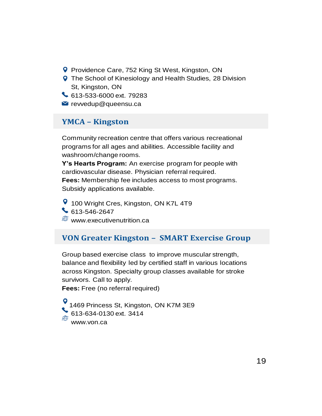- **P** Providence Care, 752 King St West, Kingston, ON
- **Q** The School of Kinesiology and Health Studies, 28 Division St, Kingston, ON
- 613-533-6000 ext. 79283
- $\blacksquare$  revvedup@queensu.ca

#### **YMCA – Kingston**

Community recreation centre that offers various recreational programs for all ages and abilities. Accessible facility and washroom/change rooms.

**Y's Hearts Program:** An exercise program for people with cardiovascular disease. Physician referral required. **Fees:** Membership fee includes access to most programs. Subsidy applications available.

**9** 100 Wright Cres, Kingston, ON K7L 4T9  $613 - 546 - 2647$  $\circledR$  www.executivenutrition.ca

### **VON Greater Kingston – SMART Exercise Group**

Group based exercise class to improve muscular strength, balance and flexibility led by certified staff in various locations across Kingston. Specialty group classes available for stroke survivors. Call to apply.

**Fees:** Free (no referral required)

1469 Princess St, Kingston, ON K7M 3E9 613-634-0130 ext. 3414 www.von.ca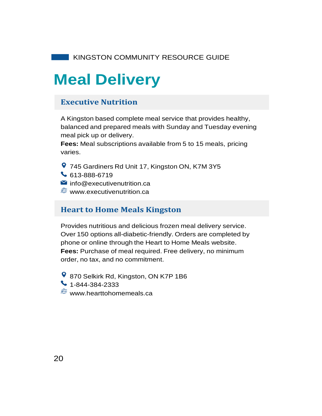## **Meal Delivery**

## **Executive Nutrition**

A Kingston based complete meal service that provides healthy, balanced and prepared meals with Sunday and Tuesday evening meal pick up or delivery.

**Fees:** Meal subscriptions available from 5 to 15 meals, pricing varies.

- 745 Gardiners Rd Unit 17, Kingston ON, K7M 3Y5
- 613-888-6719
- $\blacksquare$  info@executivenutrition.ca
- $\circledR$  www.executivenutrition.ca

### **Heart to Home Meals Kingston**

Provides nutritious and delicious frozen meal delivery service. Over 150 options all-diabetic-friendly. Orders are completed by phone or online through the Heart to Home Meals website. **Fees:** Purchase of meal required. Free delivery, no minimum order, no tax, and no commitment.

- **9** 870 Selkirk Rd, Kingston, ON K7P 1B6
- $\bullet$  1-844-384-2333
- $\oplus$  www.hearttohomemeals.ca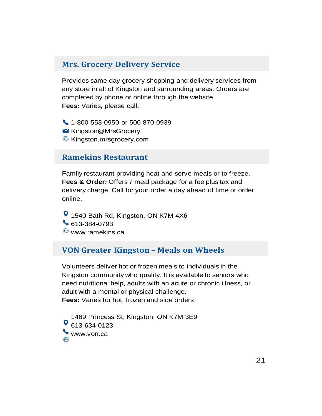#### **Mrs. Grocery Delivery Service**

Provides same-day grocery shopping and delivery services from any store in all of Kingston and surrounding areas. Orders are completed by phone or online through the website. **Fees:** Varies, please call.

1-800-553-0950 or 506-870-0939 **■ Kingston@MrsGrocery E** Kingston.mrsgrocery.com

#### **Ramekins Restaurant**

Family restaurant providing heat and serve meals or to freeze. **Fees & Order:** Offers 7 meal package for a fee plus tax and delivery charge. Call for your order a day ahead of time or order online.

1540 Bath Rd, Kingston, ON K7M 4X6 613-384-0793 www.ramekins.ca

#### **VON Greater Kingston – Meals on Wheels**

Volunteers deliver hot or frozen meals to individuals in the Kingston community who qualify. It is available to seniors who need nutritional help, adults with an acute or chronic illness, or adult with a mental or physical challenge. **Fees:** Varies for hot, frozen and side orders

1469 Princess St, Kingston, ON K7M 3E9 <sup>0</sup> 613-634-0123 www.von.ca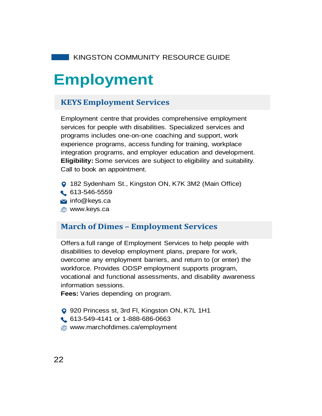## **Employment**

### **KEYS Employment Services**

Employment centre that provides comprehensive employment services for people with disabilities. Specialized services and programs includes one-on-one coaching and support, work experience programs, access funding for training, workplace integration programs, and employer education and development. **Eligibility:** Some services are subject to eligibility and suitability. Call to book an appointment.

- 182 Sydenham St., Kingston ON, K7K 3M2 (Main Office)
- 613-546-5559
- $\blacktriangleright$  info@keys.ca
- **@** www.keys.ca

#### **March of Dimes – Employment Services**

Offers a full range of Employment Services to help people with disabilities to develop employment plans, prepare for work, overcome any employment barriers, and return to (or enter) the workforce. Provides ODSP employment supports program, vocational and functional assessments, and disability awareness information sessions.

**Fees:** Varies depending on program.

- 920 Princess st, 3rd Fl, Kingston ON, K7L 1H1
- 613-549-4141 or 1-888-686-0663
- www.marchofdimes.ca/employment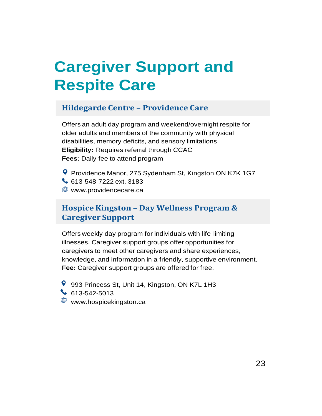## **Caregiver Support and Respite Care**

## **Hildegarde Centre – Providence Care**

Offers an adult day program and weekend/overnight respite for older adults and members of the community with physical disabilities, memory deficits, and sensory limitations **Eligibility:** Requires referral through CCAC **Fees:** Daily fee to attend program

Providence Manor, 275 Sydenham St, Kingston ON K7K 1G7 613-548-7222 ext. 3183 **<sup><sup>5</sup>** www.providencecare.ca</sup>

## **Hospice Kingston – Day Wellness Program & Caregiver Support**

Offers weekly day program for individuals with life-limiting illnesses. Caregiver support groups offer opportunities for caregivers to meet other caregivers and share experiences, knowledge, and information in a friendly, supportive environment. **Fee:** Caregiver support groups are offered for free.

- 993 Princess St, Unit 14, Kingston, ON K7L 1H3 613-542-5013
- **<sup>5</sup>** www.hospicekingston.ca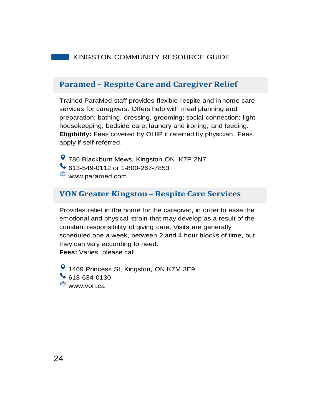#### **Paramed – Respite Care and Caregiver Relief**

Trained ParaMed staff provides flexible respite and in-home care services for caregivers. Offers help with meal planning and preparation; bathing, dressing, grooming; social connection; light housekeeping; bedside care; laundry and ironing; and feeding. **Eligibility:** Fees covered by OHIP if referred by physician. Fees apply if self-referred.

786 Blackburn Mews, Kingston ON, K7P 2N7 613-549-0112 or 1-800-267-7853 www.paramed.com

#### **VON Greater Kingston – Respite Care Services**

Provides relief in the home for the caregiver, in order to ease the emotional and physical strain that may develop as a result of the constant responsibility of giving care. Visits are generally scheduled one a week, between 2 and 4 hour blocks of time, but they can vary according to need.

**Fees:** Varies, please call

**9** 1469 Princess St, Kingston, ON K7M 3E9 613-634-0130 www.von.ca

24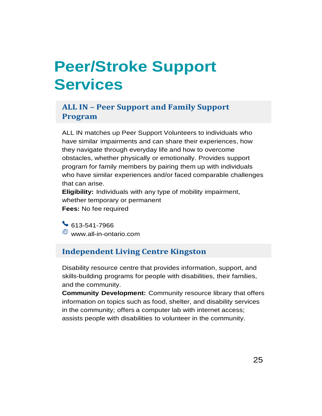## **Peer/Stroke Support Services**

### **ALL IN – Peer Support and Family Support Program**

ALL IN matches up Peer Support Volunteers to individuals who have similar impairments and can share their experiences, how they navigate through everyday life and how to overcome obstacles, whether physically or emotionally. Provides support program for family members by pairing them up with individuals who have similar experiences and/or faced comparable challenges that can arise.

**Eligibility:** Individuals with any type of mobility impairment, whether temporary or permanent **Fees:** No fee required

613-541-7966 www.all-in-ontario.com

## **Independent Living Centre Kingston**

Disability resource centre that provides information, support, and skills-building programs for people with disabilities, their families, and the community.

**Community Development:** Community resource library that offers information on topics such as food, shelter, and disability services in the community; offers a computer lab with internet access; assists people with disabilities to volunteer in the community.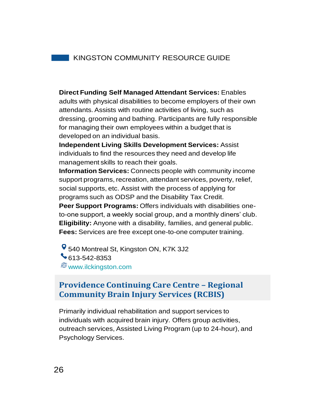**Direct Funding Self Managed Attendant Services:** Enables adults with physical disabilities to become employers of their own attendants. Assists with routine activities of living, such as dressing, grooming and bathing. Participants are fully responsible for managing their own employees within a budget that is developed on an individual basis.

**Independent Living Skills Development Services:** Assist individuals to find the resources they need and develop life management skills to reach their goals.

**Information Services:** Connects people with community income support programs, recreation, attendant services, poverty, relief, social supports, etc. Assist with the process of applying for programs such as ODSP and the Disability Tax Credit.

**Peer Support Programs:** Offers individuals with disabilities oneto-one support, a weekly social group, and a monthly diners' club. **Eligibility:** Anyone with a disability, families, and general public. **Fees:** Services are free except one-to-one computer training.

**9** 540 Montreal St, Kingston ON, K7K 3J2 613-542-8353 www.ilckingston.com

## **Providence Continuing Care Centre – Regional Community Brain Injury Services (RCBIS)**

Primarily individual rehabilitation and support services to individuals with acquired brain injury. Offers group activities, outreach services, Assisted Living Program (up to 24-hour), and Psychology Services.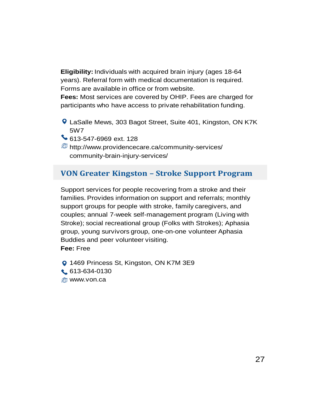**Eligibility:** Individuals with acquired brain injury (ages 18-64 years). Referral form with medical documentation is required. Forms are available in office or from website.

**Fees:** Most services are covered by OHIP. Fees are charged for participants who have access to private rehabilitation funding.

LaSalle Mews, 303 Bagot Street, Suite 401, Kingston, ON K7K 5W7

613-547-6969 ext. 128

http://www.providencecare.ca/community-services/ community-brain-injury-services/

#### **VON Greater Kingston – Stroke Support Program**

Support services for people recovering from a stroke and their families. Provides information on support and referrals; monthly support groups for people with stroke, family caregivers, and couples; annual 7-week self-management program (Living with Stroke); social recreational group (Folks with Strokes); Aphasia group, young survivors group, one-on-one volunteer Aphasia Buddies and peer volunteer visiting.

**Fee:** Free

**Q 1469 Princess St, Kingston, ON K7M 3E9** 613-634-0130 **@** www.von.ca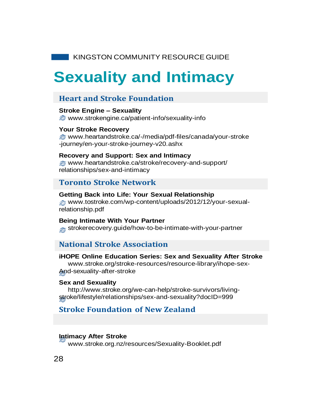## **Sexuality and Intimacy**

#### **Heart and Stroke Foundation**

**Stroke Engine – Sexuality** www.strokengine.ca/patient-info/sexuality-info

#### **Your Stroke Recovery** www.heartandstroke.ca/-/media/pdf-files/canada/your-stroke

-journey/en-your-stroke-journey-v20.ashx

#### **Recovery and Support: Sex and Intimacy**

www.heartandstroke.ca/stroke/recovery-and-support/ relationships/sex-and-intimacy

#### **Toronto Stroke Network**

#### **Getting Back into Life: Your Sexual Relationship**

www.tostroke.com/wp-content/uploads/2012/12/your-sexualrelationship.pdf

#### **Being Intimate With Your Partner**

**strokerecovery.guide/how-to-be-intimate-with-your-partner** 

#### **National Stroke Association**

#### **iHOPE Online Education Series: Sex and Sexuality After Stroke**

www.stroke.org/stroke-resources/resource-library/ihope-sex-And-sexuality-after-stroke

#### **Sex and Sexuality**

http://www.stroke.org/we-can-help/stroke-survivors/livingstroke/lifestyle/relationships/sex-and-sexuality?docID=999

### **Stroke Foundation of New Zealand**

#### **Intimacy After Stroke**

www.stroke.org.nz/resources/Sexuality-Booklet.pdf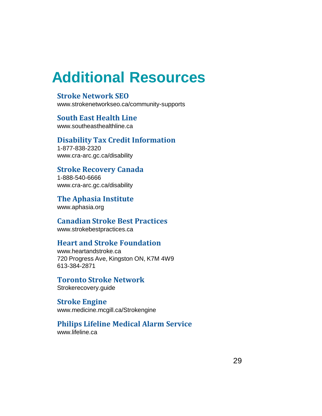## **Additional Resources**

#### **Stroke Network SEO**

www.strokenetworkseo.ca/community-supports

**South East Health Line**

www.southeasthealthline.ca

**Disability Tax Credit Information** 1-877-838-2320 www.cra-arc.gc.ca/disability

#### **Stroke Recovery Canada**

1-888-540-6666 www.cra-arc.gc.ca/disability

**The Aphasia Institute** www.aphasia.org

**Canadian Stroke Best Practices** www.strokebestpractices.ca

#### **Heart and Stroke Foundation**

www.heartandstroke.ca 720 Progress Ave, Kingston ON, K7M 4W9 613-384-2871

**Toronto Stroke Network** Strokerecovery.guide

**Stroke Engine** www.medicine.mcgill.ca/Strokengine

## **Philips Lifeline Medical Alarm Service**

www.lifeline.ca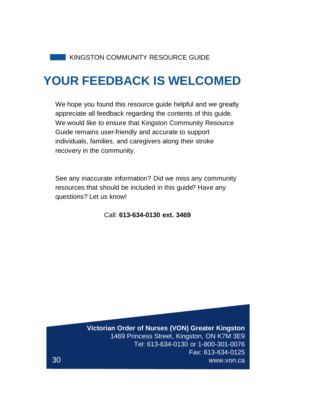## **YOUR FEEDBACK IS WELCOMED**

We hope you found this resource guide helpful and we greatly appreciate all feedback regarding the contents of this guide. We would like to ensure that Kingston Community Resource Guide remains user-friendly and accurate to support individuals, families, and caregivers along their stroke recovery in the community.

See any inaccurate information? Did we miss any community resources that should be included in this guide? Have any questions? Let us know!

Call: **613-634-0130 ext. 3469**

**Victorian Order of Nurses (VON) Greater Kingston** 1469 Princess Street, Kingston, ON K7M 3E9 Tel: 613-634-0130 or 1-800-301-0076 Fax: 613-634-0125 www.von.ca